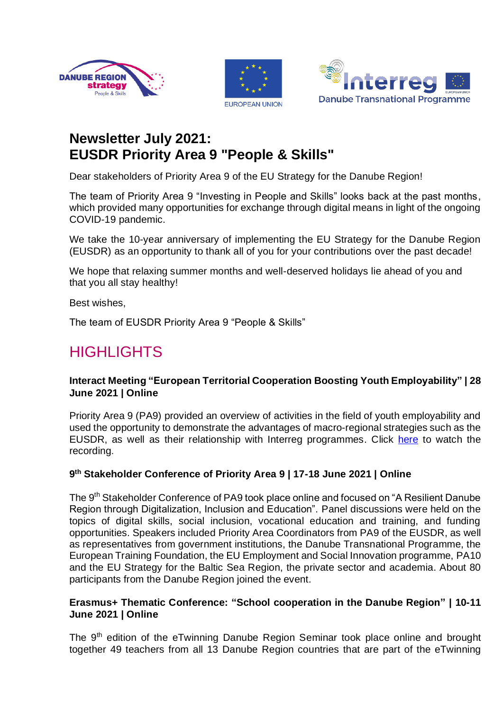





# **Newsletter July 2021: EUSDR Priority Area 9 "People & Skills"**

Dear stakeholders of Priority Area 9 of the EU Strategy for the Danube Region!

The team of Priority Area 9 "Investing in People and Skills" looks back at the past months, which provided many opportunities for exchange through digital means in light of the ongoing COVID-19 pandemic.

We take the 10-year anniversary of implementing the EU Strategy for the Danube Region (EUSDR) as an opportunity to thank all of you for your contributions over the past decade!

We hope that relaxing summer months and well-deserved holidays lie ahead of you and that you all stay healthy!

Best wishes,

The team of EUSDR Priority Area 9 "People & Skills"

# **HIGHLIGHTS**

# **Interact Meeting "European Territorial Cooperation Boosting Youth Employability" | 28 June 2021 | Online**

Priority Area 9 (PA9) provided an overview of activities in the field of youth employability and used the opportunity to demonstrate the advantages of macro-regional strategies such as the EUSDR, as well as their relationship with Interreg programmes. Click [here](https://www.youtube.com/watch?v=d4W_ejueqm0) to watch the recording.

# **9 th Stakeholder Conference of Priority Area 9 | 17-18 June 2021 | Online**

The 9<sup>th</sup> Stakeholder Conference of PA9 took place online and focused on "A Resilient Danube Region through Digitalization, Inclusion and Education". Panel discussions were held on the topics of digital skills, social inclusion, vocational education and training, and funding opportunities. Speakers included Priority Area Coordinators from PA9 of the EUSDR, as well as representatives from government institutions, the Danube Transnational Programme, the European Training Foundation, the EU Employment and Social Innovation programme, PA10 and the EU Strategy for the Baltic Sea Region, the private sector and academia. About 80 participants from the Danube Region joined the event.

#### **Erasmus+ Thematic Conference: "School cooperation in the Danube Region" | 10-11 June 2021 | Online**

The 9<sup>th</sup> edition of the eTwinning Danube Region Seminar took place online and brought together 49 teachers from all 13 Danube Region countries that are part of the eTwinning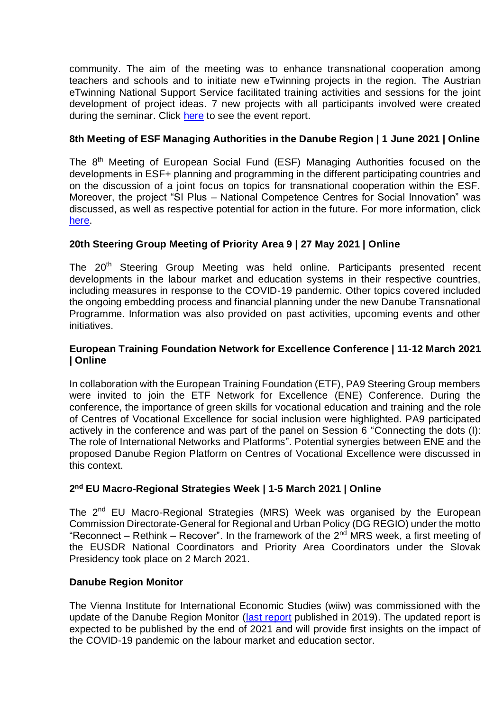community. The aim of the meeting was to enhance transnational cooperation among teachers and schools and to initiate new eTwinning projects in the region. The Austrian eTwinning National Support Service facilitated training activities and sessions for the joint development of project ideas. 7 new projects with all participants involved were created during the seminar. Click [here](https://peopleandskills.danube-region.eu/wp-content/uploads/sites/11/Event-Report-eTwinning-Online-DR-Seminar-2021.pdf) to see the event report.

# **8th Meeting of ESF Managing Authorities in the Danube Region | 1 June 2021 | Online**

The 8<sup>th</sup> Meeting of European Social Fund (ESF) Managing Authorities focused on the developments in ESF+ planning and programming in the different participating countries and on the discussion of a joint focus on topics for transnational cooperation within the ESF. Moreover, the project "SI Plus – National Competence Centres for Social Innovation" was discussed, as well as respective potential for action in the future. For more information, click [here.](https://peopleandskills.danube-region.eu/esf/)

# **20th Steering Group Meeting of Priority Area 9 | 27 May 2021 | Online**

The 20<sup>th</sup> Steering Group Meeting was held online. Participants presented recent developments in the labour market and education systems in their respective countries, including measures in response to the COVID-19 pandemic. Other topics covered included the ongoing embedding process and financial planning under the new Danube Transnational Programme. Information was also provided on past activities, upcoming events and other initiatives.

#### **European Training Foundation Network for Excellence Conference | 11-12 March 2021 | Online**

In collaboration with the European Training Foundation (ETF), PA9 Steering Group members were invited to join the ETF Network for Excellence (ENE) Conference. During the conference, the importance of green skills for vocational education and training and the role of Centres of Vocational Excellence for social inclusion were highlighted. PA9 participated actively in the conference and was part of the panel on Session 6 "Connecting the dots (I): The role of International Networks and Platforms". Potential synergies between ENE and the proposed Danube Region Platform on Centres of Vocational Excellence were discussed in this context.

#### **2 nd EU Macro-Regional Strategies Week | 1-5 March 2021 | Online**

The 2<sup>nd</sup> EU Macro-Regional Strategies (MRS) Week was organised by the European Commission Directorate-General for Regional and Urban Policy (DG REGIO) under the motto "Reconnect – Rethink – Recover". In the framework of the  $2^{nd}$  MRS week, a first meeting of the EUSDR National Coordinators and Priority Area Coordinators under the Slovak Presidency took place on 2 March 2021.

#### **Danube Region Monitor**

The Vienna Institute for International Economic Studies (wiiw) was commissioned with the update of the Danube Region Monitor [\(last report](https://peopleandskills.danube-region.eu/wp-content/uploads/sites/11/Danube-Region-Monitor.pdf) published in 2019). The updated report is expected to be published by the end of 2021 and will provide first insights on the impact of the COVID-19 pandemic on the labour market and education sector.